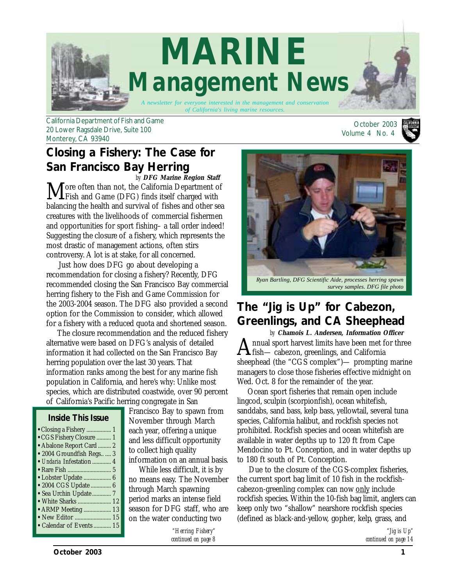

California Department of Fish and Game 20 Lower Ragsdale Drive, Suite 100 Monterey, CA 93940

## **Closing a Fishery: The Case for San Francisco Bay Herring**

More often than not, the California Department of<br>Fish and Game (DFG) finds itself charged with balancing the health and survival of fishes and other sea creatures with the livelihoods of commercial fishermen and opportunities for sport fishing– a tall order indeed! Suggesting the closure of a fishery, which represents the most drastic of management actions, often stirs controversy. A lot is at stake, for all concerned. *by* **DFG Marine Region Staff**

 Just how does DFG go about developing a recommendation for closing a fishery? Recently, DFG recommended closing the San Francisco Bay commercial herring fishery to the Fish and Game Commission for the 2003-2004 season. The DFG also provided a second option for the Commission to consider, which allowed for a fishery with a reduced quota and shortened season.

 The closure recommendation and the reduced fishery alternative were based on DFG's analysis of detailed information it had collected on the San Francisco Bay herring population over the last 30 years. That information ranks among the best for any marine fish population in California, and here's why: Unlike most species, which are distributed coastwide, over 90 percent of California's Pacific herring congregate in San

#### *Inside This Issue*

| • Closing a Fishery  1<br>• CGS Fishery Closure  1<br>• Abalone Report Card  2<br>• 2004 Groundfish Regs  3<br>• Undaria Infestation  4<br>• Lobster Update  6<br>• 2004 CGS Update  6<br>· Sea Urchin Update  7<br>• White Sharks  12<br>• ARMP Meeting  13 |  |
|--------------------------------------------------------------------------------------------------------------------------------------------------------------------------------------------------------------------------------------------------------------|--|
| • Calendar of Events  15                                                                                                                                                                                                                                     |  |

Francisco Bay to spawn from November through March each year, offering a unique and less difficult opportunity to collect high quality information on an annual basis.

 While less difficult, it is by no means easy. The November through March spawning period marks an intense field season for DFG staff, who are on the water conducting two

> *"Herring Fishery" [continued on page 8](#page-7-0)*

 October 2003 Volume 4 No. 4





*Ryan Bartling, DFG Scientific Aide, processes herring spawn survey samples. DFG file photo*

### **The "Jig is Up" for Cabezon, Greenlings, and CA Sheephead**

Annual sport harvest limits have been met for three  $\Gamma$ fish— cabezon, greenlings, and California sheephead (the "CGS complex")— prompting marine managers to close those fisheries effective midnight on Wed. Oct. 8 for the remainder of the year. *by* **Chamois L. Andersen, Information Officer**

 Ocean sport fisheries that remain open include lingcod, sculpin (scorpionfish), ocean whitefish, sanddabs, sand bass, kelp bass, yellowtail, several tuna species, California halibut, and rockfish species not prohibited. Rockfish species and ocean whitefish are available in water depths up to 120 ft from Cape Mendocino to Pt. Conception, and in water depths up to 180 ft south of Pt. Conception.

 Due to the closure of the CGS-complex fisheries, the current sport bag limit of 10 fish in the rockfishcabezon-greenling complex can now only include rockfish species. Within the 10-fish bag limit, anglers can keep only two "shallow" nearshore rockfish species (defined as black-and-yellow, gopher, kelp, grass, and

> *"Jig is Up" c[ontinued on page 14](#page-13-0)*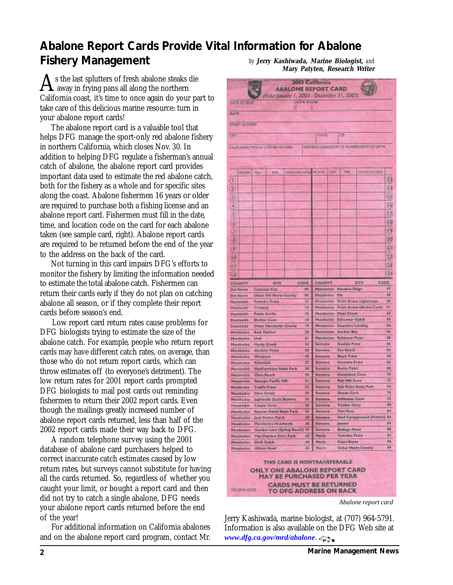## <span id="page-1-0"></span>**Abalone Report Cards Provide Vital Information for Abalone Fishery Management** *by* **Jerry Kashiwada, Marine Biologist,** *and*

 $\sum$ s the last splutters of fresh abalone steaks die<br>away in frying pans all along the northern California coast, it's time to once again do your part to take care of this delicious marine resource: turn in your abalone report cards!

 The abalone report card is a valuable tool that helps DFG manage the sport-only red abalone fishery in northern California, which closes Nov. 30. In addition to helping DFG regulate a fisherman's annual catch of abalone, the abalone report card provides important data used to estimate the red abalone catch, both for the fishery as a whole and for specific sites along the coast. Abalone fishermen 16 years or older are required to purchase both a fishing license and an abalone report card. Fishermen must fill in the date, time, and location code on the card for each abalone taken (see sample card, right). Abalone report cards are required to be returned before the end of the year to the address on the back of the card.

 Not turning in this card impairs DFG's efforts to monitor the fishery by limiting the information needed to estimate the total abalone catch. Fishermen can return their cards early if they do not plan on catching abalone all season, or if they complete their report cards before season's end.

 Low report card return rates cause problems for DFG biologists trying to estimate the size of the abalone catch. For example, people who return report cards may have different catch rates, on average, than those who do not return report cards, which can throw estimates off (to everyone's detriment). The low return rates for 2001 report cards prompted DFG biologists to mail post cards out reminding fishermen to return their 2002 report cards. Even though the mailings greatly increased number of abalone report cards returned, less than half of the 2002 report cards made their way back to DFG.

 A random telephone survey using the 2001 database of abalone card purchasers helped to correct inaccurate catch estimates caused by low return rates, but surveys cannot substitute for having all the cards returned. So, regardless of whether you caught your limit, or bought a report card and then did not try to catch a single abalone, DFG needs your abalone report cards returned before the end of the year!

 For additional information on California abalones and on the abalone report card program, contact Mr.

**Mary Patyten, Research Writer DOWN THE AVE IN THE** 

|                                                                                           | <b>ABALONE REPORT CARD</b><br>Vald jamary 1, 2003 - December 31, 2003) |                               |            |                                             |                                       |           |
|-------------------------------------------------------------------------------------------|------------------------------------------------------------------------|-------------------------------|------------|---------------------------------------------|---------------------------------------|-----------|
| <b>CATE OF ISUS</b>                                                                       | <b>HOPN PHONE</b>                                                      |                               |            |                                             |                                       |           |
| <b>NAME</b>                                                                               |                                                                        |                               |            |                                             |                                       |           |
|                                                                                           |                                                                        |                               |            |                                             |                                       |           |
| <b><i>ETREST ACCURANT</i></b>                                                             |                                                                        |                               |            |                                             |                                       |           |
| CITY                                                                                      |                                                                        | <b>STATE</b>                  |            | 2P                                          |                                       |           |
| CALIFORNIA PRESENTATIONING PAULINGS                                                       |                                                                        |                               |            |                                             | DANGLE CONSIGNY O NUMBER DATE OF URTH |           |
|                                                                                           |                                                                        |                               |            |                                             |                                       |           |
|                                                                                           |                                                                        |                               |            |                                             |                                       |           |
|                                                                                           | LOCATER DOOR HONTH                                                     |                               | <b>BAY</b> | THE                                         | LOCATION COOL                         |           |
| <b>HOATS!</b><br><b>GAI</b><br>Turds.                                                     |                                                                        |                               |            |                                             |                                       | dB        |
| ı                                                                                         |                                                                        |                               |            |                                             |                                       |           |
| Þ                                                                                         |                                                                        |                               |            |                                             |                                       | я         |
| 33                                                                                        |                                                                        |                               |            |                                             |                                       | 35        |
| 64                                                                                        |                                                                        |                               |            |                                             |                                       | 16        |
|                                                                                           |                                                                        |                               |            |                                             |                                       |           |
| š                                                                                         |                                                                        |                               |            |                                             |                                       | Đ         |
| 嗟                                                                                         |                                                                        |                               |            |                                             |                                       | 鍽         |
| σ                                                                                         |                                                                        |                               |            |                                             |                                       | ß         |
| B                                                                                         |                                                                        |                               |            |                                             |                                       | B         |
|                                                                                           |                                                                        |                               |            |                                             |                                       |           |
| Θ                                                                                         |                                                                        |                               |            |                                             |                                       | 5)        |
| 10                                                                                        |                                                                        |                               |            |                                             |                                       | 22        |
| ш                                                                                         |                                                                        |                               |            |                                             |                                       | 33        |
|                                                                                           |                                                                        |                               |            |                                             |                                       | 34        |
| 钮                                                                                         |                                                                        |                               |            |                                             |                                       |           |
| COUNTY<br>5332                                                                            | CODE                                                                   | COUNTY                        |            |                                             | SIYE                                  | CODE      |
| <b>Cinesex Cty</b><br><b>Det Marts</b>                                                    | 群                                                                      | Menterbay                     |            | <b>Navarro Ralge</b>                        |                                       | $\bullet$ |
| <b>Otlaw Del Norte County</b><br>Dat Harris<br><b>Patrick's Point</b>                     | 伊<br>п                                                                 | Mandeches<br><b>Mindecino</b> |            | 老年                                          | <b>Point Arsea Lightneses</b>         | 48<br>98  |
| <b>Harrisme</b><br><b>Trivedud</b><br>Hambultt                                            | 14                                                                     | Ploralization                 |            |                                             | Funnt Arrest (Arviva Com)             | п         |
| <b>Purps Gords</b><br>Hersleidt                                                           | 55                                                                     | <b>Hancocas</b>               |            | <b>Higgi Creek</b>                          |                                       | 11        |
| <b>Markine Gays</b><br>Herchsin                                                           | 33                                                                     | <b>Mundecine</b>              |            | <b>Schoeser Guick</b>                       |                                       | 99        |
| <b>Diner Hurchside County</b><br>Humbultt                                                 | 29                                                                     | <b>Mandostes</b>              |            | Season Lasting                              |                                       | 34        |
| Bear Harbor<br>Mindedisk                                                                  | 29                                                                     | <b>Hereineins</b>             |            | <b>Gasher Bay</b>                           |                                       | 36        |
| <b>Usal</b><br>Manderina                                                                  | 31                                                                     | Mandezies                     |            | Robinson Palint                             |                                       | 98        |
| <b>Hardy Crook</b><br>Mandodas                                                            | 12                                                                     | Sonocta                       |            | Gastshi Peint                               |                                       | 88        |
| <b>Aimbon Paint</b><br>Mandocies                                                          | 34                                                                     | Sorono                        |            | Sea Banch                                   |                                       | 61        |
| Merdocita<br>Westport                                                                     | 25<br>13                                                               | Socarna<br>Sonorea            |            | <b>Mark Print</b><br><b>Stevenson Foice</b> |                                       | 64<br>44  |
| <b>Kibedilah</b><br>Marydolden<br><b>MatKnocklar State Fact</b><br>Mesdocine              | 18                                                                     | Services                      |            | <b>Roday Paint</b>                          |                                       | 88        |
| Matadocitic<br><b>Glass Beach</b>                                                         | 18                                                                     | <b>Burniers</b>               |            | <b>Hursesban Cane</b>                       |                                       | 70        |
| Georgia Pacific MBI<br>Meadowau                                                           | 34                                                                     | Sonotha                       |            | Fluis Hill Cove                             |                                       | 躁         |
| <b>Tinki's Point</b><br>Maradocioe                                                        | 11                                                                     | Sonora                        |            |                                             | <b>Daik Polint Scala Port:</b>        | 78        |
| <b>Hundacke</b><br><b>Hara Crook</b>                                                      | Ħ                                                                      | Seawing                       |            | <b>OGNATI Cavit</b>                         |                                       | TA        |
| <b>Jagfundie State Footena</b><br><b>NewSocker</b>                                        | m                                                                      | Sovens                        |            | <b>Stiffnoor Cans</b>                       |                                       | м         |
| <b>Hundarbor</b><br><b>Cassar Cove</b>                                                    | 36                                                                     | <b>Sanorra</b>                |            | <b>Timber Comp</b>                          |                                       | m         |
| <b>Russian Galeie Marin Fach</b><br>Mandachio                                             | ш                                                                      | <b>SHOOTA</b>                 |            | <b>Ford Rass</b>                            |                                       | 群         |
| <b>Maadackso</b><br><b>Jack Puttern Galsh</b>                                             | 評                                                                      | lesers                        |            |                                             | <b>Red Campgrand (Portetti) 34</b>    | 縣         |
| <b>Mandeday Musdands</b><br>Meaddown<br>Sizedon Lare (Spring Banch) 41<br><b>Hundarin</b> | 40                                                                     | Sasadwa<br>Sovoma             |            | <b>Jewstr</b><br><b>Bodage Head</b>         |                                       | 88        |
| Van Derress Bluto Park<br><b>Mundacion</b>                                                | 41                                                                     | <b>Marks</b>                  |            | <b>Tansided Point</b>                       |                                       | 報         |
| Mendacino<br>Dark:Gidth                                                                   | 88                                                                     | <b>Harts</b>                  |            | <b>Paint Reyno</b>                          |                                       | 豚         |
| Altima Hoad<br>Mondastes                                                                  | 45                                                                     | Martin                        |            |                                             | <b>Disci Hatts County</b>             | 33        |
|                                                                                           | THIS CARD IS NONTRANSFERABLE                                           |                               |            |                                             |                                       |           |
| ONLY ONE ABALONE REPORT CARD<br><b>MAY BE PURCHASED PER YEAR</b>                          |                                                                        |                               |            |                                             |                                       |           |
|                                                                                           | <b>CARDS MUST BE RETURNED</b>                                          |                               |            |                                             |                                       |           |

*Abalone report card*

Jerry Kashiwada, marine biologist, at (707) 964-5791. Information is also available on the DFG Web site at *[www.dfg.ca.gov/mrd/abalone](http://www.dfg.ca.gov/mrd/abalone.html)*.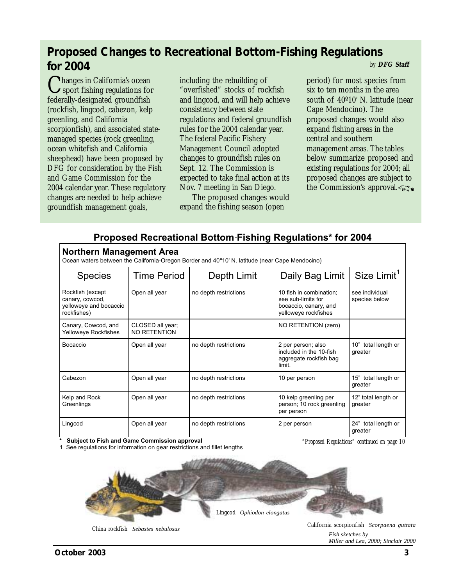### <span id="page-2-0"></span>**Proposed Changes to Recreational Bottom-Fishing Regulations for 2004** *by* **DFG Staff**

Changes in California's ocean sport fishing regulations for federally-designated groundfish (rockfish, lingcod, cabezon, kelp greenling, and California scorpionfish), and associated statemanaged species (rock greenling, ocean whitefish and California sheephead) have been proposed by DFG for consideration by the Fish and Game Commission for the 2004 calendar year. These regulatory changes are needed to help achieve groundfish management goals,

including the rebuilding of "overfished" stocks of rockfish and lingcod, and will help achieve consistency between state regulations and federal groundfish rules for the 2004 calendar year. The federal Pacific Fishery Management Council adopted changes to groundfish rules on Sept. 12. The Commission is expected to take final action at its Nov. 7 meeting in San Diego.

 The proposed changes would expand the fishing season (open

period) for most species from six to ten months in the area south of 40º10' N. latitude (near Cape Mendocino). The proposed changes would also expand fishing areas in the central and southern management areas. The tables below summarize proposed and existing regulations for 2004; all proposed changes are subject to the Commission's approval.

### **Proposed Recreational Bottom Fishing Regulations\* for 2004** -

| NOLUIEIII Management Area<br>Ocean waters between the California-Oregon Border and 40°10' N. latitude (near Cape Mendocino) |                                  |                       |                                                                                                |                                 |  |
|-----------------------------------------------------------------------------------------------------------------------------|----------------------------------|-----------------------|------------------------------------------------------------------------------------------------|---------------------------------|--|
| <b>Species</b>                                                                                                              | <b>Time Period</b>               | Depth Limit           | Daily Bag Limit                                                                                | Size Limit <sup>1</sup>         |  |
| Rockfish (except<br>canary, cowcod,<br>yelloweye and bocaccio<br>rockfishes)                                                | Open all year                    | no depth restrictions | 10 fish in combination;<br>see sub-limits for<br>bocaccio, canary, and<br>yelloweye rockfishes | see individual<br>species below |  |
| Canary, Cowcod, and<br>Yelloweye Rockfishes                                                                                 | CLOSED all year;<br>NO RETENTION |                       | NO RETENTION (zero)                                                                            |                                 |  |
| Bocaccio                                                                                                                    | Open all year                    | no depth restrictions | 2 per person; also<br>included in the 10-fish<br>aggregate rockfish bag<br>limit.              | 10" total length or<br>greater  |  |
| Cabezon                                                                                                                     | Open all year                    | no depth restrictions | 10 per person                                                                                  | 15" total length or<br>greater  |  |
| Kelp and Rock<br>Greenlings                                                                                                 | Open all year                    | no depth restrictions | 10 kelp greenling per<br>person; 10 rock greenling<br>per person                               | 12" total length or<br>greater  |  |
| Lingcod                                                                                                                     | Open all year                    | no depth restrictions | 2 per person                                                                                   | 24" total length or<br>greater  |  |

**\* Subject to Fish and Game Commission approval** 

**Northern Management Area** 

1. See regulations for information on gear restrictions and fillet lengths

*["Proposed Regulations" continued on page 10](#page-9-0)*



China rockfish *Sebastes nebulosus*

California scorpionfish *Scorpaena guttata Fish sketches by Miller and Lea, 2000; Sinclair 2000*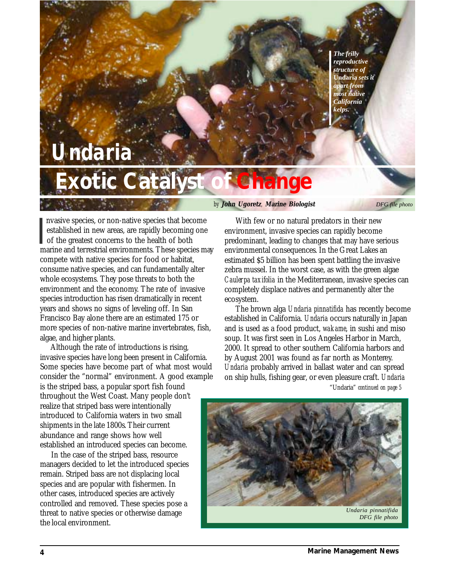#### *The frilly reproductive structure of* **Undaria** *sets it apart from most native California kelps.*

# <span id="page-3-0"></span>**Exotic Catalyst of Change** *Undaria*

 nvasive species, or non-native species that become established in new areas, are rapidly becoming one of the greatest concerns to the health of both nvasive species, or non-native species that become established in new areas, are rapidly becoming one of the greatest concerns to the health of both marine and terrestrial environments. These species may compete with native species for food or habitat, consume native species, and can fundamentally alter whole ecosystems. They pose threats to both the environment and the economy. The rate of invasive species introduction has risen dramatically in recent years and shows no signs of leveling off. In San Francisco Bay alone there are an estimated 175 or more species of non-native marine invertebrates, fish, algae, and higher plants.

 Although the rate of introductions is rising, invasive species have long been present in California. Some species have become part of what most would consider the "normal" environment. A good example is the striped bass, a popular sport fish found throughout the West Coast. Many people don't realize that striped bass were intentionally introduced to California waters in two small shipments in the late 1800s. Their current abundance and range shows how well established an introduced species can become.

 In the case of the striped bass, resource managers decided to let the introduced species remain. Striped bass are not displacing local species and are popular with fishermen. In other cases, introduced species are actively controlled and removed. These species pose a threat to native species or otherwise damage the local environment.

#### *by* **John Ugoretz***,* **Marine Biologist**

*DFG file photo*

 With few or no natural predators in their new environment, invasive species can rapidly become predominant, leading to changes that may have serious environmental consequences. In the Great Lakes an estimated \$5 billion has been spent battling the invasive zebra mussel. In the worst case, as with the green algae *Caulerpa taxifolia* in the Mediterranean, invasive species can completely displace natives and permanently alter the ecosystem.

 The brown alga *Undaria pinnatifida* has recently become established in California. *Undaria* occurs naturally in Japan and is used as a food product, *wakame*, in sushi and miso soup. It was first seen in Los Angeles Harbor in March, 2000. It spread to other southern California harbors and by August 2001 was found as far north as Monterey. *Undaria* probably arrived in ballast water and can spread on ship hulls, fishing gear, or even pleasure craft. *Undaria* "Undaria" *[continued on page 5](#page-4-1)*

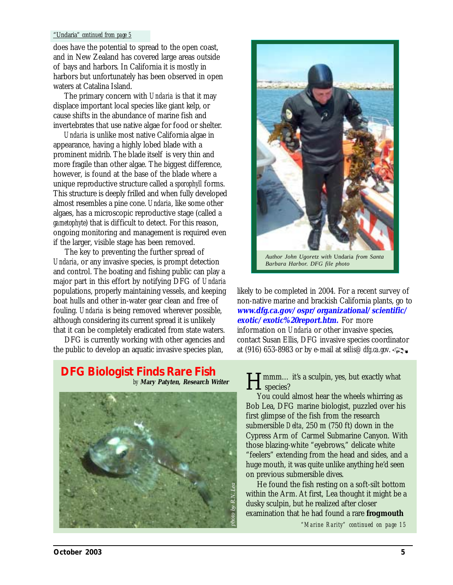#### <span id="page-4-1"></span>"Undaria" *continued from page 5*

does have the potential to spread to the open coast, and in New Zealand has covered large areas outside of bays and harbors. In California it is mostly in harbors but unfortunately has been observed in open waters at Catalina Island.

 The primary concern with *Undaria* is that it may displace important local species like giant kelp, or cause shifts in the abundance of marine fish and invertebrates that use native algae for food or shelter.

 *Undaria* is unlike most native California algae in appearance, having a highly lobed blade with a prominent midrib. The blade itself is very thin and more fragile than other algae. The biggest difference, however, is found at the base of the blade where a unique reproductive structure called a *sporophyll* forms. This structure is deeply frilled and when fully developed almost resembles a pine cone. *Undaria*, like some other algaes, has a microscopic reproductive stage (called a *gametophyte*) that is difficult to detect. For this reason, ongoing monitoring and management is required even if the larger, visible stage has been removed.

<span id="page-4-0"></span> The key to preventing the further spread of *Undaria*, or any invasive species, is prompt detection and control. The boating and fishing public can play a major part in this effort by notifying DFG of *Undaria* populations, properly maintaining vessels, and keeping boat hulls and other in-water gear clean and free of fouling. *Undaria* is being removed wherever possible, although considering its current spread it is unlikely that it can be completely eradicated from state waters.

 DFG is currently working with other agencies and the public to develop an aquatic invasive species plan,

#### **DFG Biologist Finds Rare Fish Framment Constraint Figure 1 Hypersupy 1 Hypersupy 1 Hypersupy 2016**  *by* **Mary Patyten, Research Writer**





*Barbara Harbor. DFG file photo*

likely to be completed in 2004. For a recent survey of non-native marine and brackish California plants, go to **[www.dfg.ca.gov/ospr/organizational/scientific/](http://www.dfg.ca.gov/ospr/organizational/scientific/exotic/exotic%20report.htm) exotic/exotic%20report.htm.** For more information on *Undaria* or other invasive species, contact Susan Ellis, DFG invasive species coordinator at (916) 653-8983 or by e-mail at *sellis@dfg.ca.gov*.

**T L** species?

 You could almost hear the wheels whirring as Bob Lea, DFG marine biologist, puzzled over his first glimpse of the fish from the research submersible *Delta*, 250 m (750 ft) down in the Cypress Arm of Carmel Submarine Canyon. With those blazing-white "eyebrows," delicate white "feelers" extending from the head and sides, and a huge mouth, it was quite unlike anything he'd seen on previous submersible dives.

 He found the fish resting on a soft-silt bottom within the Arm. At first, Lea thought it might be a dusky sculpin, but he realized after closer examination that he had found a rare **frogmouth**

*["Marine Rarity" continued on page 15](#page-14-0)*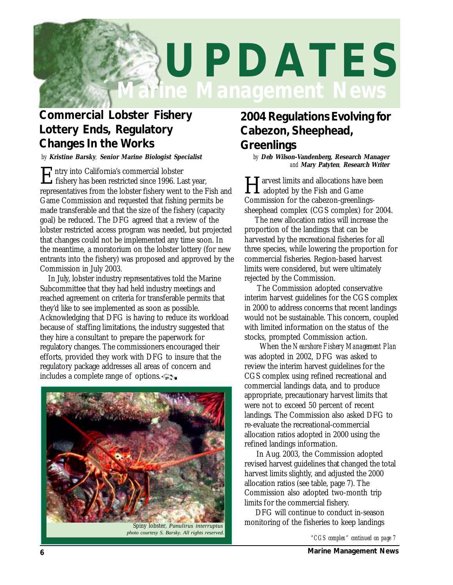<span id="page-5-0"></span>

### **Commercial Lobster Fishery Lottery Ends, Regulatory Changes In the Works**

*by* **Kristine Barsky***,* **Senior Marine Biologist Specialist** *by* **Deb Wilson-Vandenberg, Research Manager**

Entry into California's commercial lobster fishery has been restricted since 1996. Last year, representatives from the lobster fishery went to the Fish and Game Commission and requested that fishing permits be made transferable and that the size of the fishery (capacity goal) be reduced. The DFG agreed that a review of the lobster restricted access program was needed, but projected that changes could not be implemented any time soon. In the meantime, a moratorium on the lobster lottery (for new entrants into the fishery) was proposed and approved by the Commission in July 2003.

 In July, lobster industry representatives told the Marine Subcommittee that they had held industry meetings and reached agreement on criteria for transferable permits that they'd like to see implemented as soon as possible. Acknowledging that DFG is having to reduce its workload because of staffing limitations, the industry suggested that they hire a consultant to prepare the paperwork for regulatory changes. The commissioners encouraged their efforts, provided they work with DFG to insure that the regulatory package addresses all areas of concern and includes a complete range of options.



*photo courtesy S. Barsky. All rights reserved.*

## **2004 Regulations Evolving for Cabezon, Sheephead, Greenlings**

*and* **Mary Patyten***,* **Research Writer**

**Harvest limits and allocations have been**<br>adopted by the Fish and Game Commission for the cabezon-greenlingssheephead complex (CGS complex) for 2004.

 The new allocation ratios will increase the proportion of the landings that can be harvested by the recreational fisheries for all three species, while lowering the proportion for commercial fisheries. Region-based harvest limits were considered, but were ultimately rejected by the Commission.

 The Commission adopted conservative interim harvest guidelines for the CGS complex in 2000 to address concerns that recent landings would not be sustainable. This concern, coupled with limited information on the status of the stocks, prompted Commission action.

 When the *Nearshore Fishery Management Plan* was adopted in 2002, DFG was asked to review the interim harvest guidelines for the CGS complex using refined recreational and commercial landings data, and to produce appropriate, precautionary harvest limits that were not to exceed 50 percent of recent landings. The Commission also asked DFG to re-evaluate the recreational-commercial allocation ratios adopted in 2000 using the refined landings information.

 In Aug. 2003, the Commission adopted revised harvest guidelines that changed the total harvest limits slightly, and adjusted the 2000 allocation ratios (see table, page 7). The Commission also adopted two-month trip limits for the commercial fishery.

 DFG will continue to conduct in-season monitoring of the fisheries to keep landings

*["CGS complex" continued on page 7](#page-6-0)*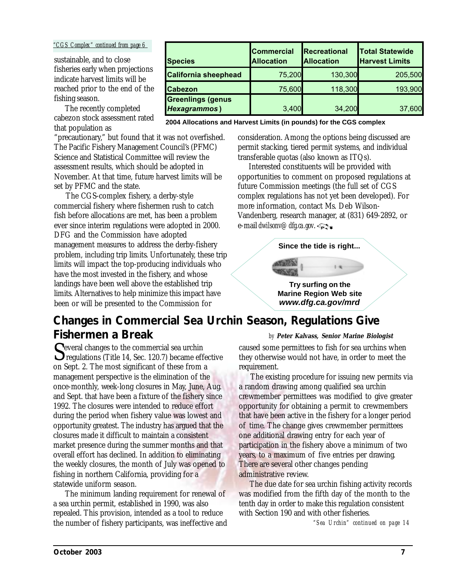#### <span id="page-6-0"></span>*"CGS Complex" continued from page 6*

sustainable, and to close fisheries early when projections indicate harvest limits will be reached prior to the end of the fishing season.

 The recently completed cabezon stock assessment rated that population as

"precautionary," but found that it was not overfished. The Pacific Fishery Management Council's (PFMC) Science and Statistical Committee will review the assessment results, which should be adopted in November. At that time, future harvest limits will be set by PFMC and the state.

 The CGS-complex fishery, a derby-style commercial fishery where fishermen rush to catch fish before allocations are met, has been a problem ever since interim regulations were adopted in 2000. DFG and the Commission have adopted management measures to address the derby-fishery problem, including trip limits. Unfortunately, these trip limits will impact the top-producing individuals who have the most invested in the fishery, and whose landings have been well above the established trip limits. Alternatives to help minimize this impact have been or will be presented to the Commission for

| <b>Species</b>                                   | <b>Commercial</b><br><b>Allocation</b> | Recreational<br><b>Allocation</b> | <b>Total Statewide</b><br><b>Harvest Limits</b> |
|--------------------------------------------------|----------------------------------------|-----------------------------------|-------------------------------------------------|
| <b>California sheephead</b>                      | 75,200                                 | 130,300                           | 205,500                                         |
| <b>Cabezon</b>                                   | 75,600                                 | 118,300                           | 193,900                                         |
| <b>Greenlings (genus</b><br><b>Hexagrammos</b> ) | 3,400                                  | 34,200                            | 37,600                                          |

**2004 Allocations and Harvest Limits (in pounds) for the CGS complex**

consideration. Among the options being discussed are permit stacking, tiered permit systems, and individual transferable quotas (also known as ITQs).

 Interested constituents will be provided with opportunities to comment on proposed regulations at future Commission meetings (the full set of CGS complex regulations has not yet been developed). For more information, contact Ms. Deb Wilson-Vandenberg, research manager, at (831) 649-2892, or e-mail *dwilsonv@dfg.ca.gov*.

#### **Since the tide is right...**

#### *[www.dfg.ca.gov/mrd](http://www.dfg.ca.gov/mrd)* **Try surfing on the Marine Region Web site**

#### **Changes in Commercial Sea Urchin Season, Regulations Give Fishermen a Break** *by* **Peter Kalvass, Senior Marine Biologist**

Several changes to the commercial sea urchin  $\Box$  regulations (Title 14, Sec. 120.7) became effective on Sept. 2. The most significant of these from a management perspective is the elimination of the once-monthly, week-long closures in May, June, Aug. and Sept. that have been a fixture of the fishery since 1992. The closures were intended to reduce effort during the period when fishery value was lowest and opportunity greatest. The industry has argued that the closures made it difficult to maintain a consistent market presence during the summer months and that overall effort has declined. In addition to eliminating the weekly closures, the month of July was opened to fishing in northern California, providing for a statewide uniform season.

 The minimum landing requirement for renewal of a sea urchin permit, established in 1990, was also repealed. This provision, intended as a tool to reduce the number of fishery participants, was ineffective and caused some permittees to fish for sea urchins when they otherwise would not have, in order to meet the requirement.

 The existing procedure for issuing new permits via a random drawing among qualified sea urchin crewmember permittees was modified to give greater opportunity for obtaining a permit to crewmembers that have been active in the fishery for a longer period of time. The change gives crewmember permittees one additional drawing entry for each year of participation in the fishery above a minimum of two years, to a maximum of five entries per drawing. There are several other changes pending administrative review.

 The due date for sea urchin fishing activity records was modified from the fifth day of the month to the tenth day in order to make this regulation consistent with Section 190 and with other fisheries.

*["Sea Urchin" continued on page 14](#page-13-1)*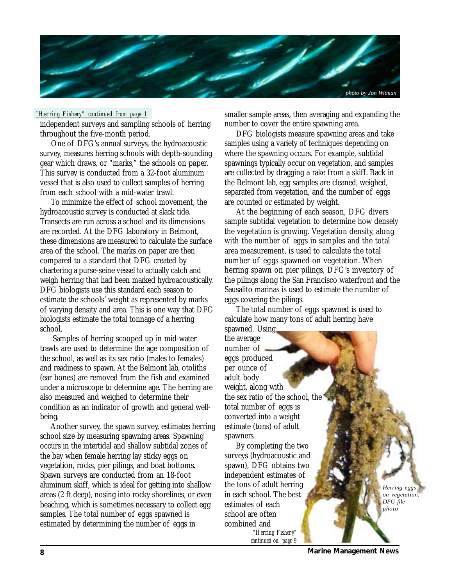<span id="page-7-0"></span>

#### *"Her ring Fishery" continued from page 1*

independent surveys and sampling schools of herring throughout the five-month period.

 One of DFG's annual surveys, the hydroacoustic survey, measures herring schools with depth-sounding gear which draws, or "marks," the schools on paper. This survey is conducted from a 32-foot aluminum vessel that is also used to collect samples of herring from each school with a mid-water trawl.

 To minimize the effect of school movement, the hydroacoustic survey is conducted at slack tide. Transects are run across a school and its dimensions are recorded. At the DFG laboratory in Belmont, these dimensions are measured to calculate the surface area of the school. The marks on paper are then compared to a standard that DFG created by chartering a purse-seine vessel to actually catch and weigh herring that had been marked hydroacoustically. DFG biologists use this standard each season to estimate the schools' weight as represented by marks of varying density and area. This is one way that DFG biologists estimate the total tonnage of a herring school.

 Samples of herring scooped up in mid-water trawls are used to determine the age composition of the school, as well as its sex ratio (males to females) and readiness to spawn. At the Belmont lab, otoliths (ear bones) are removed from the fish and examined under a microscope to determine age. The herring are also measured and weighed to determine their condition as an indicator of growth and general wellbeing.

 Another survey, the spawn survey, estimates herring school size by measuring spawning areas. Spawning occurs in the intertidal and shallow subtidal zones of the bay when female herring lay sticky eggs on vegetation, rocks, pier pilings, and boat bottoms. Spawn surveys are conducted from an 18-foot aluminum skiff, which is ideal for getting into shallow areas (2 ft deep), nosing into rocky shorelines, or even beaching, which is sometimes necessary to collect egg samples. The total number of eggs spawned is estimated by determining the number of eggs in

smaller sample areas, then averaging and expanding the number to cover the entire spawning area.

 DFG biologists measure spawning areas and take samples using a variety of techniques depending on where the spawning occurs. For example, subtidal spawnings typically occur on vegetation, and samples are collected by dragging a rake from a skiff. Back in the Belmont lab, egg samples are cleaned, weighed, separated from vegetation, and the number of eggs are counted or estimated by weight.

 At the beginning of each season, DFG divers sample subtidal vegetation to determine how densely the vegetation is growing. Vegetation density, along with the number of eggs in samples and the total area measurement, is used to calculate the total number of eggs spawned on vegetation. When herring spawn on pier pilings, DFG's inventory of the pilings along the San Francisco waterfront and the Sausalito marinas is used to estimate the number of eggs covering the pilings.

 The total number of eggs spawned is used to calculate how many tons of adult herring have spawned. Using

the average number of eggs produced per ounce of adult body weight, along with the sex ratio of the school, the total number of eggs is converted into a weight estimate (tons) of adult spawners.

 By completing the two surveys (hydroacoustic and spawn), DFG obtains two independent estimates of the tons of adult herring in each school. The best estimates of each school are often combined and *"Herring Fishery" [continued on page 9](#page-8-0)*

*Herring eggs on vegetation. DFG file photo*

**8 Marine Management News**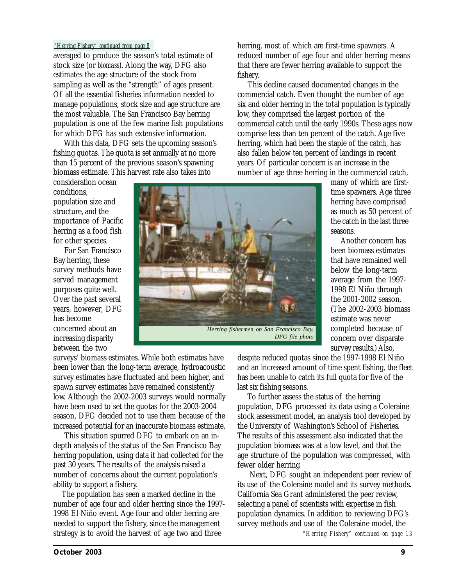#### <span id="page-8-0"></span>*"Herring Fishery" continued from page 8*

averaged to produce the season's total estimate of stock size (or *biomass*). Along the way, DFG also estimates the age structure of the stock from sampling as well as the "strength" of ages present. Of all the essential fisheries information needed to manage populations, stock size and age structure are the most valuable. The San Francisco Bay herring population is one of the few marine fish populations for which DFG has such extensive information.

 With this data, DFG sets the upcoming season's fishing quotas. The quota is set annually at no more than 15 percent of the previous season's spawning biomass estimate. This harvest rate also takes into

consideration ocean conditions, population size and structure, and the importance of Pacific herring as a food fish for other species.

 For San Francisco Bay herring, these survey methods have served management purposes quite well. Over the past several years, however, DFG has become concerned about an increasing disparity between the two



herring, most of which are first-time spawners. A reduced number of age four and older herring means that there are fewer herring available to support the fishery.

 This decline caused documented changes in the commercial catch. Even thought the number of age six and older herring in the total population is typically low, they comprised the largest portion of the commercial catch until the early 1990s. These ages now comprise less than ten percent of the catch. Age five herring, which had been the staple of the catch, has also fallen below ten percent of landings in recent years. Of particular concern is an increase in the number of age three herring in the commercial catch,

many of which are firsttime spawners. Age three herring have comprised as much as 50 percent of the catch in the last three seasons.

 Another concern has been biomass estimates that have remained well below the long-term average from the 1997- 1998 El Niño through the 2001-2002 season. (The 2002-2003 biomass estimate was never completed because of concern over disparate survey results.) Also,

surveys' biomass estimates. While both estimates have been lower than the long-term average, hydroacoustic survey estimates have fluctuated and been higher, and spawn survey estimates have remained consistently low. Although the 2002-2003 surveys would normally have been used to set the quotas for the 2003-2004 season, DFG decided not to use them because of the increased potential for an inaccurate biomass estimate.

 This situation spurred DFG to embark on an indepth analysis of the status of the San Francisco Bay herring population, using data it had collected for the past 30 years. The results of the analysis raised a number of concerns about the current population's ability to support a fishery.

 The population has seen a marked decline in the number of age four and older herring since the 1997- 1998 El Niño event. Age four and older herring are needed to support the fishery, since the management strategy is to avoid the harvest of age two and three

despite reduced quotas since the 1997-1998 El Niño and an increased amount of time spent fishing, the fleet has been unable to catch its full quota for five of the last six fishing seasons.

 To further assess the status of the herring population, DFG processed its data using a Coleraine stock assessment model, an analysis tool developed by the University of Washington's School of Fisheries. The results of this assessment also indicated that the population biomass was at a low level, and that the age structure of the population was compressed, with fewer older herring.

 Next, DFG sought an independent peer review of its use of the Coleraine model and its survey methods. California Sea Grant administered the peer review, selecting a panel of scientists with expertise in fish population dynamics. In addition to reviewing DFG's survey methods and use of the Coleraine model, the *["Herring Fishery" continued on page 13](#page-12-0)*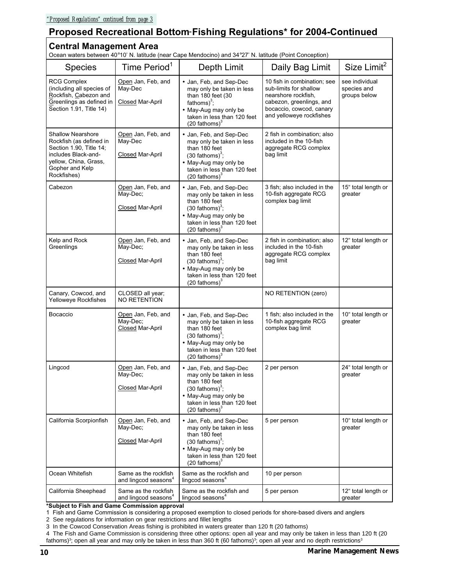### <span id="page-9-0"></span> **Proposed Recreational Bottom Fishing Regulations\* for 2004-Continued** -

### **Central Management Area**

Ocean waters between 40°10' N. latitude (near Cape Mendocino) and 34°27' N. latitude (Point Conception)

| Ocean waters between 40°10' N. latitude (near Cape Mendocino) and 34°27' N. latitude (Point Conception)                                                          |                                                           |                                                                                                                                                                                         |                                                                                                                                                                  |                                               |  |  |
|------------------------------------------------------------------------------------------------------------------------------------------------------------------|-----------------------------------------------------------|-----------------------------------------------------------------------------------------------------------------------------------------------------------------------------------------|------------------------------------------------------------------------------------------------------------------------------------------------------------------|-----------------------------------------------|--|--|
| <b>Species</b>                                                                                                                                                   | Time Period <sup>1</sup>                                  | Depth Limit                                                                                                                                                                             | Daily Bag Limit                                                                                                                                                  | Size Limit <sup>2</sup>                       |  |  |
| <b>RCG Complex</b><br>(including all species of<br>Rockfish, Cabezon and<br>Greenlings as defined in<br>Section 1.91, Title 14)                                  | Open Jan, Feb, and<br>May-Dec<br>Closed Mar-April         | • Jan, Feb, and Sep-Dec<br>may only be taken in less<br>than 180 feet (30<br>fathoms $)^3$ ;<br>• May-Aug may only be<br>taken in less than 120 feet<br>$(20 \text{ fathoms})^3$        | 10 fish in combination; see<br>sub-limits for shallow<br>nearshore rockfish,<br>cabezon, greenlings, and<br>bocaccio, cowcod, canary<br>and yelloweye rockfishes | see individual<br>species and<br>groups below |  |  |
| <b>Shallow Nearshore</b><br>Rockfish (as defined in<br>Section 1.90, Title 14;<br>includes Black-and-<br>yellow, China, Grass,<br>Gopher and Kelp<br>Rockfishes) | Open Jan, Feb, and<br>May-Dec<br>Closed Mar-April         | • Jan, Feb, and Sep-Dec<br>may only be taken in less<br>than 180 feet<br>$(30 \text{ fathoms})^3$ ;<br>• May-Aug may only be<br>taken in less than 120 feet<br>$(20 \text{ fathoms})^3$ | 2 fish in combination; also<br>included in the 10-fish<br>aggregate RCG complex<br>bag limit                                                                     |                                               |  |  |
| Cabezon                                                                                                                                                          | Open Jan, Feb, and<br>May-Dec;<br><b>Closed Mar-April</b> | • Jan, Feb, and Sep-Dec<br>may only be taken in less<br>than 180 feet<br>$(30 \text{ fathoms})^3$ ;<br>• May-Aug may only be<br>taken in less than 120 feet<br>$(20 \text{ fathoms})^3$ | 3 fish; also included in the<br>10-fish aggregate RCG<br>complex bag limit                                                                                       | 15" total length or<br>greater                |  |  |
| Kelp and Rock<br>Greenlings                                                                                                                                      | Open Jan, Feb, and<br>May-Dec;<br><b>Closed Mar-April</b> | • Jan, Feb, and Sep-Dec<br>may only be taken in less<br>than 180 feet<br>$(30 \text{ fathoms})^3$ ;<br>• May-Aug may only be<br>taken in less than 120 feet<br>$(20 \text{ fathoms})^3$ | 2 fish in combination; also<br>included in the 10-fish<br>aggregate RCG complex<br>bag limit                                                                     | 12" total length or<br>greater                |  |  |
| Canary, Cowcod, and<br>Yelloweye Rockfishes                                                                                                                      | CLOSED all year;<br>NO RETENTION                          |                                                                                                                                                                                         | NO RETENTION (zero)                                                                                                                                              |                                               |  |  |
| Bocaccio                                                                                                                                                         | Open Jan, Feb, and<br>May-Dec:<br>Closed Mar-April        | • Jan, Feb, and Sep-Dec<br>may only be taken in less<br>than 180 feet<br>$(30 \text{ fathoms})^3$ ;<br>• May-Aug may only be<br>taken in less than 120 feet<br>$(20 \text{ fathoms})^3$ | 1 fish; also included in the<br>10-fish aggregate RCG<br>complex bag limit                                                                                       | 10" total length or<br>greater                |  |  |
| Lingcod                                                                                                                                                          | Open Jan, Feb, and<br>May-Dec;<br>Closed Mar-April        | • Jan, Feb, and Sep-Dec<br>may only be taken in less<br>than 180 feet<br>$(30 \text{ fathoms})^3$ ;<br>• May-Aug may only be<br>taken in less than 120 feet<br>$(20 \text{ fathoms})^3$ | 2 per person                                                                                                                                                     | 24" total length or<br>greater                |  |  |
| California Scorpionfish                                                                                                                                          | Open Jan, Feb, and<br>May-Dec;<br>Closed Mar-April        | • Jan, Feb, and Sep-Dec<br>may only be taken in less<br>than 180 feet<br>$(30 \text{ fathoms})^3$ ;<br>• May-Aug may only be<br>taken in less than 120 feet<br>$(20 \text{ fathoms})^3$ | 5 per person                                                                                                                                                     | 10" total length or<br>greater                |  |  |
| Ocean Whitefish                                                                                                                                                  | Same as the rockfish<br>and lingcod seasons <sup>4</sup>  | Same as the rockfish and<br>lingcod seasons <sup>4</sup>                                                                                                                                | 10 per person                                                                                                                                                    |                                               |  |  |
| California Sheephead                                                                                                                                             | Same as the rockfish<br>and lingcod seasons <sup>4</sup>  | Same as the rockfish and<br>lingcod seasons <sup>4</sup>                                                                                                                                | 5 per person                                                                                                                                                     | 12" total length or<br>greater                |  |  |

**\*Subject to Fish and Game Commission approval** 

1. Fish and Game Commission is considering a proposed exemption to closed periods for shore-based divers and anglers

2. See regulations for information on gear restrictions and fillet lengths

4. The Fish and Game Commission is considering three other options: open all year and may only be taken in less than 120 ft (20 fathoms)<sup>3</sup>; open all year and may only be taken in less than 360 ft (60 fathoms)<sup>3</sup>; open all year and no depth restrictions<sup>3</sup>

<sup>3.</sup> In the Cowcod Conservation Areas fishing is prohibited in waters greater than 120 ft (20 fathoms)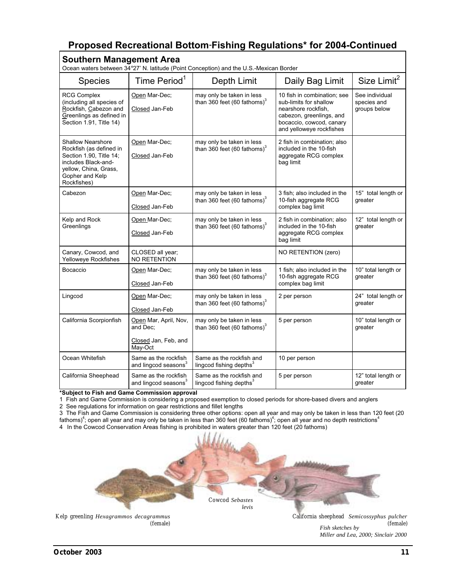### **Proposed Recreational Bottom Fishing Regulations\* for 2004-Continued** -

| <b>Southern Management Area</b><br>Ocean waters between 34°27' N. latitude (Point Conception) and the U.S.-Mexican Border                                        |                                                                      |                                                                      |                                                                                                                                                                  |                                               |  |  |
|------------------------------------------------------------------------------------------------------------------------------------------------------------------|----------------------------------------------------------------------|----------------------------------------------------------------------|------------------------------------------------------------------------------------------------------------------------------------------------------------------|-----------------------------------------------|--|--|
| <b>Species</b>                                                                                                                                                   | Time Period <sup>1</sup>                                             | Depth Limit                                                          | Daily Bag Limit                                                                                                                                                  | Size Limit <sup>2</sup>                       |  |  |
| <b>RCG Complex</b><br>(including all species of<br>Rockfish, Cabezon and<br>Greenlings as defined in<br>Section 1.91, Title 14)                                  | Open Mar-Dec;<br>Closed Jan-Feb                                      | may only be taken in less<br>than 360 feet (60 fathoms) <sup>3</sup> | 10 fish in combination; see<br>sub-limits for shallow<br>nearshore rockfish,<br>cabezon, greenlings, and<br>bocaccio, cowcod, canary<br>and yelloweye rockfishes | See individual<br>species and<br>groups below |  |  |
| <b>Shallow Nearshore</b><br>Rockfish (as defined in<br>Section 1.90, Title 14;<br>includes Black-and-<br>yellow, China, Grass,<br>Gopher and Kelp<br>Rockfishes) | Open Mar-Dec;<br>Closed Jan-Feb                                      | may only be taken in less<br>than 360 feet (60 fathoms) $3$          | 2 fish in combination; also<br>included in the 10-fish<br>aggregate RCG complex<br>bag limit                                                                     |                                               |  |  |
| Cabezon                                                                                                                                                          | Open Mar-Dec;<br>Closed Jan-Feb                                      | may only be taken in less<br>than 360 feet (60 fathoms) <sup>3</sup> | 3 fish; also included in the<br>10-fish aggregate RCG<br>complex bag limit                                                                                       | 15" total length or<br>greater                |  |  |
| Kelp and Rock<br>Greenlings                                                                                                                                      | Open Mar-Dec;<br>Closed Jan-Feb                                      | may only be taken in less<br>than 360 feet (60 fathoms) $3$          | 2 fish in combination; also<br>included in the 10-fish<br>aggregate RCG complex<br>bag limit                                                                     | 12" total length or<br>greater                |  |  |
| Canary, Cowcod, and<br>Yelloweye Rockfishes                                                                                                                      | CLOSED all year;<br><b>NO RETENTION</b>                              |                                                                      | NO RETENTION (zero)                                                                                                                                              |                                               |  |  |
| Bocaccio                                                                                                                                                         | Open Mar-Dec;<br>Closed Jan-Feb                                      | may only be taken in less<br>than 360 feet (60 fathoms) $3$          | 1 fish; also included in the<br>10-fish aggregate RCG<br>complex bag limit                                                                                       | 10" total length or<br>greater                |  |  |
| Lingcod                                                                                                                                                          | Open Mar-Dec;<br>Closed Jan-Feb                                      | may only be taken in less<br>than 360 feet (60 fathoms) $3$          | 2 per person                                                                                                                                                     | 24" total length or<br>greater                |  |  |
| California Scorpionfish                                                                                                                                          | Open Mar, April, Nov,<br>and Dec:<br>Closed Jan, Feb, and<br>May-Oct | may only be taken in less<br>than 360 feet (60 fathoms) <sup>3</sup> | 5 per person                                                                                                                                                     | 10" total length or<br>greater                |  |  |
| Ocean Whitefish                                                                                                                                                  | Same as the rockfish<br>and lingcod seasons <sup>3</sup>             | Same as the rockfish and<br>lingcod fishing depths <sup>3</sup>      | 10 per person                                                                                                                                                    |                                               |  |  |
| California Sheephead                                                                                                                                             | Same as the rockfish<br>and lingcod seasons <sup>3</sup>             | Same as the rockfish and<br>lingcod fishing depths <sup>3</sup>      | 5 per person                                                                                                                                                     | 12" total length or<br>greater                |  |  |

**\*Subject to Fish and Game Commission approval** 

1. Fish and Game Commission is considering a proposed exemption to closed periods for shore-based divers and anglers

2. See regulations for information on gear restrictions and fillet lengths

3. The Fish and Game Commission is considering three other options: open all year and may only be taken in less than 120 feet (20 fathoms) $^4$ ; open all year and may only be taken in less than 360 feet (60 fathoms) $^4$ ; open all year and no depth restrictions $^4$ 

4. In the Cowcod Conservation Areas fishing is prohibited in waters greater than 120 feet (20 fathoms)

![](_page_10_Picture_7.jpeg)

Kelp greenling *Hexagrammos decagrammus* (female)

*Fish sketches by Miller and Lea, 2000; Sinclair 2000* California sheephead *Semicossyphus pulcher* (female)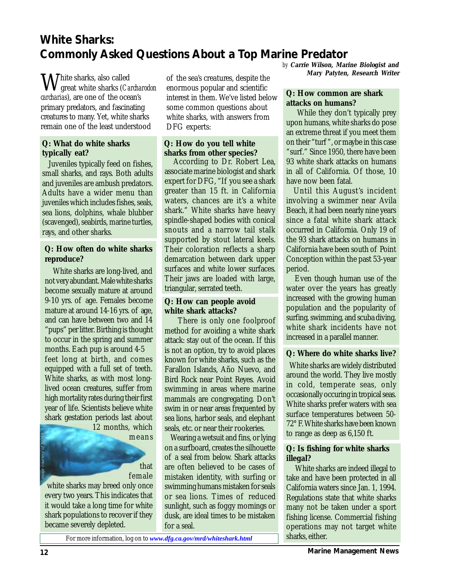### <span id="page-11-0"></span>**White Sharks: Commonly Asked Questions About a Top Marine Predator**

White sharks, also called great white sharks (*Carcharodon carcharias*), are one of the ocean's primary predators, and fascinating creatures to many. Yet, white sharks remain one of the least understood

#### **Q: What do white sharks typically eat?**

 Juveniles typically feed on fishes, small sharks, and rays. Both adults and juveniles are ambush predators. Adults have a wider menu than juveniles which includes fishes, seals, sea lions, dolphins, whale blubber (scavenged), seabirds, marine turtles, rays, and other sharks.

#### **Q: How often do white sharks reproduce?**

 White sharks are long-lived, and not very abundant. Male white sharks become sexually mature at around 9-10 yrs. of age. Females become mature at around 14-16 yrs. of age, and can have between two and 14 "pups" per litter. Birthing is thought to occur in the spring and summer months. Each pup is around 4-5 feet long at birth, and comes equipped with a full set of teeth. White sharks, as with most longlived ocean creatures, suffer from high mortality rates during their first year of life. Scientists believe white shark gestation periods last about 12 months, which

means

that female

white sharks may breed only once every two years. This indicates that it would take a long time for white shark populations to recover if they became severely depleted.

of the sea's creatures, despite the enormous popular and scientific interest in them. We've listed below some common questions about white sharks, with answers from DFG experts:

#### **Q: How do you tell white sharks from other species?**

 According to Dr. Robert Lea, associate marine biologist and shark expert for DFG, "If you see a shark greater than 15 ft. in California waters, chances are it's a white shark." White sharks have heavy spindle-shaped bodies with conical snouts and a narrow tail stalk supported by stout lateral keels. Their coloration reflects a sharp demarcation between dark upper surfaces and white lower surfaces. Their jaws are loaded with large, triangular, serrated teeth.

#### **Q: How can people avoid white shark attacks?**

There is only one foolproof method for avoiding a white shark attack: stay out of the ocean. If this is not an option, try to avoid places known for white sharks, such as the Farallon Islands, Año Nuevo, and Bird Rock near Point Reyes. Avoid swimming in areas where marine mammals are congregating. Don't swim in or near areas frequented by sea lions, harbor seals, and elephant seals, etc. or near their rookeries.

 Wearing a wetsuit and fins, or lying on a surfboard, creates the silhouette of a seal from below. Shark attacks are often believed to be cases of mistaken identity, with surfing or swimming humans mistaken for seals or sea lions. Times of reduced sunlight, such as foggy mornings or dusk, are ideal times to be mistaken for a seal.

*by* **Carrie Wilson, Marine Biologist and Mary Patyten, Research Writer**

#### **Q: How common are shark attacks on humans?**

 While they don't typically prey upon humans, white sharks do pose an extreme threat if you meet them on their "turf ", or maybe in this case "surf." Since 1950, there have been 93 white shark attacks on humans in all of California. Of those, 10 have now been fatal.

 Until this August's incident involving a swimmer near Avila Beach, it had been nearly nine years since a fatal white shark attack occurred in California. Only 19 of the 93 shark attacks on humans in California have been south of Point Conception within the past 53-year period.

 Even though human use of the water over the years has greatly increased with the growing human population and the popularity of surfing, swimming, and scuba diving, white shark incidents have not increased in a parallel manner.

#### **Q: Where do white sharks live?**

 White sharks are widely distributed around the world. They live mostly in cold, temperate seas, only occasionally occuring in tropical seas. White sharks prefer waters with sea surface temperatures between 50- 72° F. White sharks have been known to range as deep as 6,150 ft.

#### **Q: Is fishing for white sharks illegal?**

 White sharks are indeed illegal to take and have been protected in all California waters since Jan. 1, 1994. Regulations state that white sharks many not be taken under a sport fishing license. Commercial fishing operations may not target white sharks, either.

For more information, log on to *[www.dfg.ca.gov/mrd/whiteshark.html](http://www.dfg.ca.gov/mrd/whiteshark.html)*

*image courtesy of NOAA*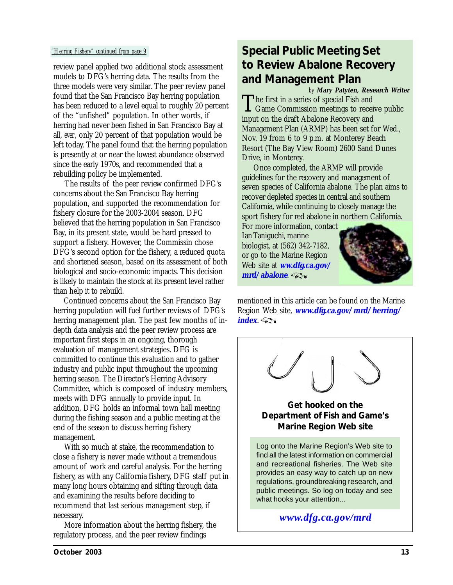review panel applied two additional stock assessment models to DFG's herring data. The results from the three models were very similar. The peer review panel found that the San Francisco Bay herring population has been reduced to a level equal to roughly 20 percent of the "unfished" population. In other words, if herring had never been fished in San Francisco Bay at all, *ever*, only 20 percent of that population would be left today. The panel found that the herring population is presently at or near the lowest abundance observed since the early 1970s, and recommended that a rebuilding policy be implemented.

 The results of the peer review confirmed DFG's concerns about the San Francisco Bay herring population, and supported the recommendation for fishery closure for the 2003-2004 season. DFG believed that the herring population in San Francisco Bay, in its present state, would be hard pressed to support a fishery. However, the Commissin chose DFG's second option for the fishery, a reduced quota and shortened season, based on its assessment of both biological and socio-economic impacts. This decision is likely to maintain the stock at its present level rather than help it to rebuild.

 Continued concerns about the San Francisco Bay herring population will fuel further reviews of DFG's herring management plan. The past few months of indepth data analysis and the peer review process are important first steps in an ongoing, thorough evaluation of management strategies. DFG is committed to continue this evaluation and to gather industry and public input throughout the upcoming herring season. The Director's Herring Advisory Committee, which is composed of industry members, meets with DFG annually to provide input. In addition, DFG holds an informal town hall meeting during the fishing season and a public meeting at the end of the season to discuss herring fishery management.

 With so much at stake, the recommendation to close a fishery is never made without a tremendous amount of work and careful analysis. For the herring fishery, as with any California fishery, DFG staff put in many long hours obtaining and sifting through data and examining the results before deciding to recommend that last serious management step, if necessary.

 More information about the herring fishery, the regulatory process, and the peer review findings

### <span id="page-12-0"></span>*"Herring Fishery" continued from page 9* **Special Public Meeting Set to Review Abalone Recovery and Management Plan**

The first in a series of special Fish and Game Commission meetings to receive public input on the draft Abalone Recovery and Management Plan (ARMP) has been set for Wed., Nov. 19 from 6 to 9 p.m. at Monterey Beach Resort (The Bay View Room) 2600 Sand Dunes Drive, in Monterey. *by* **Mary Patyten, Research Writer**

 Once completed, the ARMP will provide guidelines for the recovery and management of seven species of California abalone. The plan aims to recover depleted species in central and southern California, while continuing to closely manage the sport fishery for red abalone in northern California.

For more information, contact Ian Taniguchi, marine biologist, at (562) 342-7182, or go to the Marine Region Web site at **[ww.dfg.ca.gov/](http://www.dfg.ca.gov/mrd/abalone.html) mrd/abalone**.

![](_page_12_Picture_10.jpeg)

mentioned in this article can be found on the Marine Region Web site, **[www.dfg.ca.gov/mrd/herring/](http://www.dfg.ca.gov/mrd/herring/index.html) index**.

![](_page_12_Picture_12.jpeg)

#### **Get hooked on the Department of Fish and Game's Marine Region Web site**

Log onto the Marine Region's Web site to find all the latest information on commercial and recreational fisheries. The Web site provides an easy way to catch up on new regulations, groundbreaking research, and public meetings. So log on today and see what hooks your attention...

*[www.dfg.ca.gov/mrd](http://www.dfg.ca.gov/mrd)*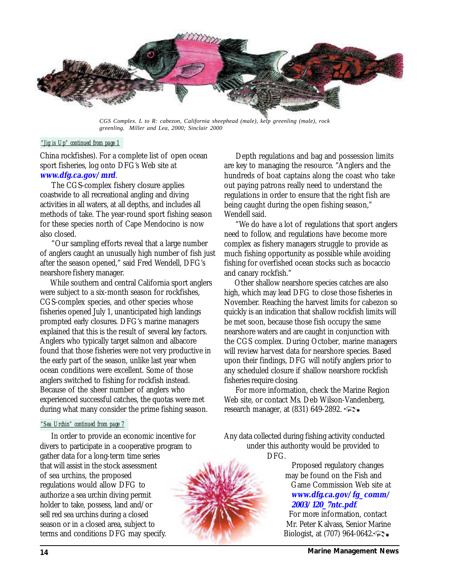<span id="page-13-0"></span>![](_page_13_Picture_0.jpeg)

*CGS Complex. L to R: cabezon, California sheephead (male), kelp greenling (male), rock greenling. Miller and Lea, 2000; Sinclair 2000*

#### *"Jig is Up" continued from page 1*

China rockfishes). For a complete list of open ocean sport fisheries, log onto DFG's Web site at **[www.dfg.ca.gov/mrd](http://www.dfg.ca.gov/mrd)**.

 The CGS-complex fishery closure applies coastwide to all recreational angling and diving activities in all waters, at all depths, and includes all methods of take. The year-round sport fishing season for these species north of Cape Mendocino is now also closed.

 "Our sampling efforts reveal that a large number of anglers caught an unusually high number of fish just after the season opened," said Fred Wendell, DFG's nearshore fishery manager.

<span id="page-13-1"></span> While southern and central California sport anglers were subject to a six-month season for rockfishes, CGS-complex species, and other species whose fisheries opened July 1, unanticipated high landings prompted early closures. DFG's marine managers explained that this is the result of several key factors. Anglers who typically target salmon and albacore found that those fisheries were not very productive in the early part of the season, unlike last year when ocean conditions were excellent. Some of those anglers switched to fishing for rockfish instead. Because of the sheer number of anglers who experienced successful catches, the quotas were met during what many consider the prime fishing season.

#### *"Sea Urchin" continued from page 7*

 In order to provide an economic incentive for divers to participate in a cooperative program to gather data for a long-term time series that will assist in the stock assessment of sea urchins, the proposed regulations would allow DFG to authorize a sea urchin diving permit holder to take, possess, land and/or sell red sea urchins during a closed season or in a closed area, subject to terms and conditions DFG may specify.

 Depth regulations and bag and possession limits are key to managing the resource. "Anglers and the hundreds of boat captains along the coast who take out paying patrons really need to understand the regulations in order to ensure that the right fish are being caught during the open fishing season," Wendell said.

 "We do have a lot of regulations that sport anglers need to follow, and regulations have become more complex as fishery managers struggle to provide as much fishing opportunity as possible while avoiding fishing for overfished ocean stocks such as bocaccio and canary rockfish."

 Other shallow nearshore species catches are also high, which may lead DFG to close those fisheries in November. Reaching the harvest limits for cabezon so quickly is an indication that shallow rockfish limits will be met soon, because those fish occupy the same nearshore waters and are caught in conjunction with the CGS complex. During October, marine managers will review harvest data for nearshore species. Based upon their findings, DFG will notify anglers prior to any scheduled closure if shallow nearshore rockfish fisheries require closing.

 For more information, check the Marine Region Web site, or contact Ms. Deb Wilson-Vandenberg, research manager, at (831) 649-2892.

Any data collected during fishing activity conducted under this authority would be provided to DFG.

> Proposed regulatory changes may be found on the Fish and Game Commission Web site at **[www.dfg.ca.gov/fg\\_comm/](http://www.dfg.ca.gov/fg_comm/2003/120_7ntc.pdf) 2003/120\_7ntc.pdf***.*

For more information, contact Mr. Peter Kalvass, Senior Marine Biologist, at (707) 964-0642.

![](_page_13_Picture_16.jpeg)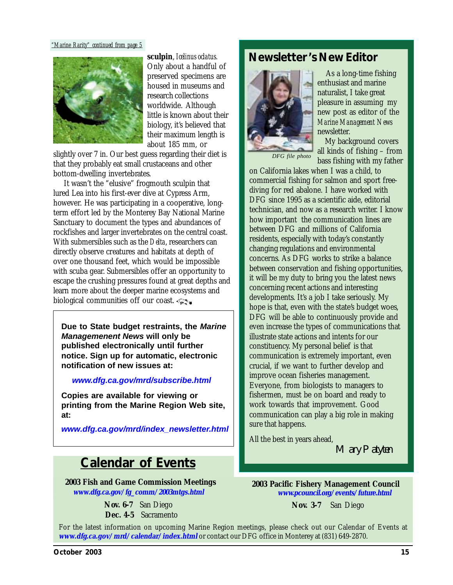#### <span id="page-14-0"></span>*"Marine Rarity" continued from page 5*

![](_page_14_Picture_1.jpeg)

**sculpin**, *Icelinus oclatus.* Only about a handful of preserved specimens are housed in museums and research collections worldwide. Although little is known about their biology, it's believed that their maximum length is about 185 mm, or

slightly over 7 in. Our best guess regarding their diet is that they probably eat small crustaceans and other bottom-dwelling invertebrates.

 It wasn't the "elusive" frogmouth sculpin that lured Lea into his first-ever dive at Cypress Arm, however. He was participating in a cooperative, longterm effort led by the Monterey Bay National Marine Sanctuary to document the types and abundances of rockfishes and larger invertebrates on the central coast. With submersibles such as the *Delta*, researchers can directly observe creatures and habitats at depth of over one thousand feet, which would be impossible with scuba gear. Submersibles offer an opportunity to escape the crushing pressures found at great depths and learn more about the deeper marine ecosystems and biological communities off our coast.

**Due to State budget restraints, the** *Marine Managemenent News* **will only be published electronically until further notice. Sign up for automatic, electronic notification of new issues at:**

#### *[www.dfg.ca.gov/mrd/subscribe.html](http://www.dfg.ca.gov/mrd/subscribe.html)*

**Copies are available for viewing or printing from the Marine Region Web site, at:**

*[www.dfg.ca.gov/mrd/index\\_newsletter.html](http://www.dfg.ca.gov/mrd/index_newsletter.html)*

### **Calendar of Events**

**2003 Fish and Game Commission Meetings [www.dfg.ca.gov/fg\\_comm/2003mtgs.html](http://www.dfg.ca.gov/fg_comm/2003mtgs.html)**

> **Nov. 6-7** San Diego  **Dec. 4-5** Sacramento

### **Newsletter's New Editor**

![](_page_14_Picture_13.jpeg)

 As a long-time fishing enthusiast and marine naturalist, I take great pleasure in assuming my new post as editor of the *Marine Management News* newsletter.

 My background covers all kinds of fishing – from

*DFG file photo*

bass fishing with my father on California lakes when I was a child, to commercial fishing for salmon and sport freediving for red abalone. I have worked with DFG since 1995 as a scientific aide, editorial technician, and now as a research writer. I know how important the communication lines are between DFG and millions of California residents, especially with today's constantly changing regulations and environmental concerns. As DFG works to strike a balance between conservation and fishing opportunities, it will be my duty to bring you the latest news concerning recent actions and interesting developments. It's a job I take seriously. My hope is that, even with the state's budget woes, DFG will be able to continuously provide and even increase the types of communications that illustrate state actions and intents for our constituency. My personal belief is that communication is extremely important, even crucial, if we want to further develop and improve ocean fisheries management. Everyone, from biologists to managers to fishermen, must be on board and ready to work towards that improvement. Good communication can play a big role in making sure that happens.

All the best in years ahead,

Mary Patyten

**2003 Pacific Fishery Management Council [www.pcouncil.org/events/future.html](http://www.pcouncil.org/events/future.html)**

**Nov. 3-7** San Diego

For the latest information on upcoming Marine Region meetings, please check out our Calendar of Events at **[www.dfg.ca.gov/mrd/calendar/index.html](http://www.dfg.ca.gov/mrd/calendar/index.html)** or contact our DFG office in Monterey at (831) 649-2870.